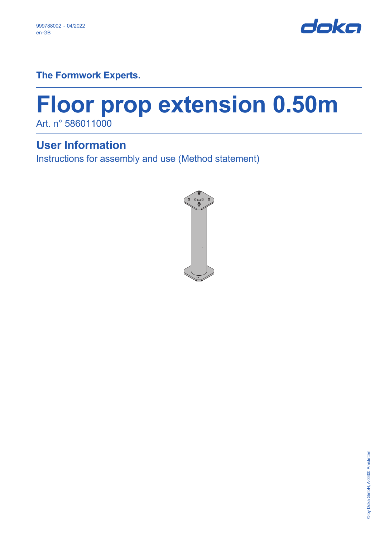

**The Formwork Experts.**

# **Floor prop extension 0.50m** Art. n° 586011000

**User Information**

Instructions for assembly and use (Method statement)

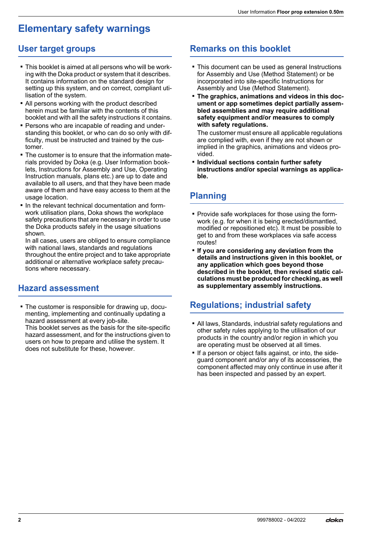## **Elementary safety warnings**

## **User target groups**

- This booklet is aimed at all persons who will be working with the Doka product or system that it describes. It contains information on the standard design for setting up this system, and on correct, compliant utilisation of the system.
- **All persons working with the product described** herein must be familiar with the contents of this booklet and with all the safety instructions it contains.
- Persons who are incapable of reading and understanding this booklet, or who can do so only with difficulty, must be instructed and trained by the customer.
- **The customer is to ensure that the information mate**rials provided by Doka (e.g. User Information booklets, Instructions for Assembly and Use, Operating Instruction manuals, plans etc.) are up to date and available to all users, and that they have been made aware of them and have easy access to them at the usage location.
- **.** In the relevant technical documentation and formwork utilisation plans, Doka shows the workplace safety precautions that are necessary in order to use the Doka products safely in the usage situations shown.

In all cases, users are obliged to ensure compliance with national laws, standards and regulations throughout the entire project and to take appropriate additional or alternative workplace safety precautions where necessary.

## **Hazard assessment**

**The customer is responsible for drawing up, docu**menting, implementing and continually updating a hazard assessment at every job-site. This booklet serves as the basis for the site-specific hazard assessment, and for the instructions given to users on how to prepare and utilise the system. It does not substitute for these, however.

## **Remarks on this booklet**

- **This document can be used as general Instructions** for Assembly and Use (Method Statement) or be incorporated into site-specific Instructions for Assembly and Use (Method Statement).
- **The graphics, animations and videos in this document or app sometimes depict partially assembled assemblies and may require additional safety equipment and/or measures to comply with safety regulations.**

The customer must ensure all applicable regulations are complied with, even if they are not shown or implied in the graphics, animations and videos provided.

▪ **Individual sections contain further safety instructions and/or special warnings as applicable.**

## **Planning**

- **Provide safe workplaces for those using the form**work (e.g. for when it is being erected/dismantled, modified or repositioned etc). It must be possible to get to and from these workplaces via safe access routes!
- If you are considering any deviation from the **details and instructions given in this booklet, or any application which goes beyond those described in the booklet, then revised static calculations must be produced for checking, as well as supplementary assembly instructions.**

## **Regulations; industrial safety**

- All laws, Standards, industrial safety regulations and other safety rules applying to the utilisation of our products in the country and/or region in which you are operating must be observed at all times.
- **.** If a person or object falls against, or into, the sideguard component and/or any of its accessories, the component affected may only continue in use after it has been inspected and passed by an expert.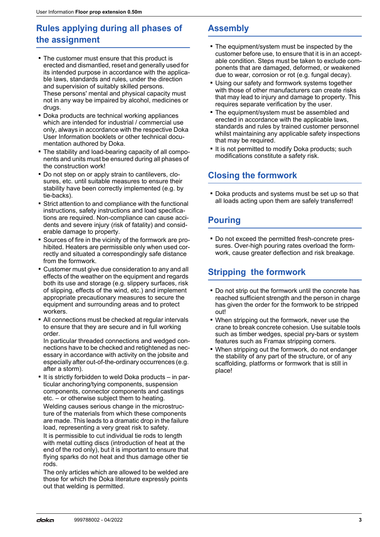## **Rules applying during all phases of the assignment**

- **The customer must ensure that this product is** erected and dismantled, reset and generally used for its intended purpose in accordance with the applicable laws, standards and rules, under the direction and supervision of suitably skilled persons. These persons' mental and physical capacity must not in any way be impaired by alcohol, medicines or drugs.
- Doka products are technical working appliances which are intended for industrial / commercial use only, always in accordance with the respective Doka User Information booklets or other technical documentation authored by Doka.
- The stability and load-bearing capacity of all components and units must be ensured during all phases of the construction work!
- Do not step on or apply strain to cantilevers, closures, etc. until suitable measures to ensure their stability have been correctly implemented (e.g. by tie-backs).
- Strict attention to and compliance with the functional instructions, safety instructions and load specifications are required. Non-compliance can cause accidents and severe injury (risk of fatality) and considerable damage to property.
- Sources of fire in the vicinity of the formwork are prohibited. Heaters are permissible only when used correctly and situated a correspondingly safe distance from the formwork.
- Customer must give due consideration to any and all effects of the weather on the equipment and regards both its use and storage (e.g. slippery surfaces, risk of slipping, effects of the wind, etc.) and implement appropriate precautionary measures to secure the equipment and surrounding areas and to protect workers.
- All connections must be checked at regular intervals to ensure that they are secure and in full working order.

In particular threaded connections and wedged connections have to be checked and retightened as necessary in accordance with activity on the jobsite and especially after out-of-the-ordinary occurrences (e.g. after a storm).

 $\blacksquare$  It is strictly forbidden to weld Doka products  $-$  in particular anchoring/tying components, suspension components, connector components and castings etc. – or otherwise subject them to heating.

Welding causes serious change in the microstructure of the materials from which these components are made. This leads to a dramatic drop in the failure load, representing a very great risk to safety.

It is permissible to cut individual tie rods to length with metal cutting discs (introduction of heat at the end of the rod only), but it is important to ensure that flying sparks do not heat and thus damage other tie rods.

The only articles which are allowed to be welded are those for which the Doka literature expressly points out that welding is permitted.

## **Assembly**

- The equipment/system must be inspected by the customer before use, to ensure that it is in an acceptable condition. Steps must be taken to exclude components that are damaged, deformed, or weakened due to wear, corrosion or rot (e.g. fungal decay).
- **.** Using our safety and formwork systems together with those of other manufacturers can create risks that may lead to injury and damage to property. This requires separate verification by the user.
- **The equipment/system must be assembled and** erected in accordance with the applicable laws, standards and rules by trained customer personnel whilst maintaining any applicable safety inspections that may be required.
- **.** It is not permitted to modify Doka products; such modifications constitute a safety risk.

## **Closing the formwork**

**• Doka products and systems must be set up so that** all loads acting upon them are safely transferred!

## **Pouring**

▪ Do not exceed the permitted fresh-concrete pressures. Over-high pouring rates overload the formwork, cause greater deflection and risk breakage.

## **Stripping the formwork**

- Do not strip out the formwork until the concrete has reached sufficient strength and the person in charge has given the order for the formwork to be stripped out!
- When stripping out the formwork, never use the crane to break concrete cohesion. Use suitable tools such as timber wedges, special pry-bars or system features such as Framax stripping corners.
- When stripping out the formwork, do not endanger the stability of any part of the structure, or of any scaffolding, platforms or formwork that is still in place!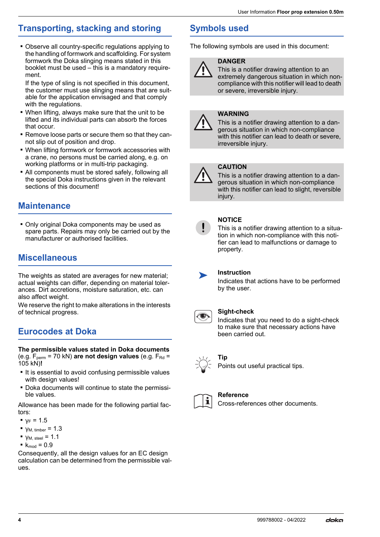## **Transporting, stacking and storing**

▪ Observe all country-specific regulations applying to the handling of formwork and scaffolding. For system formwork the Doka slinging means stated in this booklet must be used – this is a mandatory requirement.

If the type of sling is not specified in this document, the customer must use slinging means that are suitable for the application envisaged and that comply with the regulations.

- When lifting, always make sure that the unit to be lifted and its individual parts can absorb the forces that occur.
- Remove loose parts or secure them so that they cannot slip out of position and drop.
- When lifting formwork or formwork accessories with a crane, no persons must be carried along, e.g. on working platforms or in multi-trip packaging.
- All components must be stored safely, following all the special Doka instructions given in the relevant sections of this document!

## **Maintenance**

▪ Only original Doka components may be used as spare parts. Repairs may only be carried out by the manufacturer or authorised facilities.

## **Miscellaneous**

The weights as stated are averages for new material; actual weights can differ, depending on material tolerances. Dirt accretions, moisture saturation, etc. can also affect weight.

We reserve the right to make alterations in the interests of technical progress.

## **Eurocodes at Doka**

**The permissible values stated in Doka documents**  (e.g.  $F_{\text{perm}}$  = 70 kN) are not design values (e.g.  $F_{\text{Rd}}$  = 105 kN)**!**

- It is essential to avoid confusing permissible values with design values!
- Doka documents will continue to state the permissible values.

Allowance has been made for the following partial factors:

- $\bullet$   $v_F = 1.5$
- $\blacktriangleright$  γ<sub>M, timber</sub> = 1.3
- $\blacktriangleright$   $\blacktriangleright$   $\blacktriangleright$   $\blacktriangleright$   $\blacktriangleright$   $\blacktriangleright$   $\blacktriangleright$   $\blacktriangleright$   $\blacktriangleright$   $\blacktriangleright$   $\blacktriangleright$   $\blacktriangleright$   $\blacktriangleright$   $\blacktriangleright$   $\blacktriangleright$   $\blacktriangleright$   $\blacktriangleright$   $\blacktriangleright$   $\blacktriangleright$   $\blacktriangleright$   $\blacktriangleright$   $\blacktriangleright$   $\blacktriangleright$   $\blacktriangleright$   $\blacktriangleright$   $\blacktriangleright$   $\blacktriangleright$   $\blacktriangler$
- $k_{mod} = 0.9$

Consequently, all the design values for an EC design calculation can be determined from the permissible values.

## **Symbols used**

The following symbols are used in this document:

## **DANGER**

This is a notifier drawing attention to an extremely dangerous situation in which noncompliance with this notifier will lead to death or severe, irreversible injury.

#### **WARNING**

This is a notifier drawing attention to a dangerous situation in which non-compliance with this notifier can lead to death or severe, irreversible injury.

#### **CAUTION**

This is a notifier drawing attention to a dangerous situation in which non-compliance with this notifier can lead to slight, reversible injury.



#### **NOTICE**

This is a notifier drawing attention to a situation in which non-compliance with this notifier can lead to malfunctions or damage to property.



**Instruction** 

Indicates that actions have to be performed by the user.



#### **Sight-check**

Indicates that you need to do a sight-check to make sure that necessary actions have been carried out.



### **Tip**

Points out useful practical tips.



#### **Reference**

Cross-references other documents.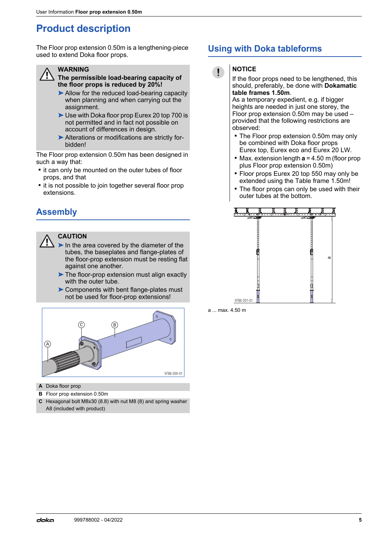## **Product description**

The Floor prop extension 0.50m is a lengthening-piece used to extend Doka floor props.



#### **WARNING**

**The permissible load-bearing capacity of the floor props is reduced by 20%!**

- ➤Allow for the reduced load-bearing capacity when planning and when carrying out the assignment.
- ➤Use with Doka floor prop Eurex 20 top 700 is not permitted and in fact not possible on account of differences in design.
- ▶ Alterations or modifications are strictly forbidden!

The Floor prop extension 0.50m has been designed in such a way that:

- **.** it can only be mounted on the outer tubes of floor props, and that
- **it is not possible to join together several floor prop** extensions.

## **Assembly**

#### **CAUTION**

- $\blacktriangleright$  In the area covered by the diameter of the tubes, the baseplates and flange-plates of the floor-prop extension must be resting flat against one another.
- ▶ The floor-prop extension must align exactly with the outer tube.
- ▶ Components with bent flange-plates must not be used for floor-prop extensions!



- **A** Doka floor prop
- **B** Floor prop extension 0.50m
- **C** Hexagonal bolt M8x30 (8.8) with nut M8 (8) and spring washer A8 (included with product)

## **Using with Doka tableforms**



**NOTICE**

#### If the floor props need to be lengthened, this should, preferably, be done with **Dokamatic table frames 1.50m**.

As a temporary expedient, e.g. if bigger heights are needed in just one storey, the Floor prop extension 0.50m may be used – provided that the following restrictions are observed:

- The Floor prop extension 0.50m may only be combined with Doka floor props Eurex top, Eurex eco and Eurex 20 LW.
- Max. extension length **a** = 4.50 m (floor prop plus Floor prop extension 0.50m)
- Floor props Eurex 20 top 550 may only be extended using the Table frame 1.50m!
- The floor props can only be used with their outer tubes at the bottom.



a ... max. 4.50 m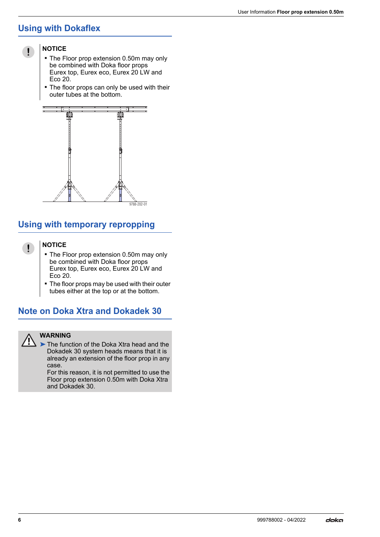## **Using with Dokaflex**



#### **NOTICE**

- **The Floor prop extension 0.50m may only** be combined with Doka floor props Eurex top, Eurex eco, Eurex 20 LW and Eco 20.
- The floor props can only be used with their outer tubes at the bottom.



## **Using with temporary repropping**

#### **NOTICE**

 $\mathbf{I}$ 

- The Floor prop extension 0.50m may only be combined with Doka floor props Eurex top, Eurex eco, Eurex 20 LW and Eco 20.
- **The floor props may be used with their outer** tubes either at the top or at the bottom.

## **Note on Doka Xtra and Dokadek 30**



#### **WARNING**

➤The function of the Doka Xtra head and the Dokadek 30 system heads means that it is already an extension of the floor prop in any case.

For this reason, it is not permitted to use the Floor prop extension 0.50m with Doka Xtra and Dokadek 30.